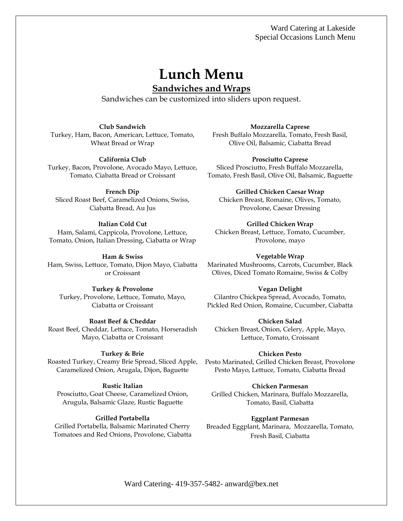# **Lunch Menu**

## **Sandwiches and Wraps**

Sandwiches can be customized into sliders upon request.

**Club Sandwich**

Turkey, Ham, Bacon, American, Lettuce, Tomato, Wheat Bread or Wrap

#### **California Club**

Turkey, Bacon, Provolone, Avocado Mayo, Lettuce, Tomato, Ciabatta Bread or Croissant

#### **French Dip**

Sliced Roast Beef, Caramelized Onions, Swiss, Ciabatta Bread, Au Jus

#### **Italian Cold Cut**

Ham, Salami, Cappicola, Provolone, Lettuce, Tomato, Onion, Italian Dressing, Ciabatta or Wrap

**Ham & Swiss** 

Ham, Swiss, Lettuce, Tomato, Dijon Mayo, Ciabatta or Croissant

### **Turkey & Provolone**

Turkey, Provolone, Lettuce, Tomato, Mayo, Ciabatta or Croissant

#### **Roast Beef & Cheddar**

Roast Beef, Cheddar, Lettuce, Tomato, Horseradish Mayo, Ciabatta or Croissant

#### **Turkey & Brie**

Roasted Turkey, Creamy Brie Spread, Sliced Apple, Caramelized Onion, Arugala, Dijon, Baguette

#### **Rustic Italian**

Prosciutto, Goat Cheese, Caramelized Onion, Arugula, Balsamic Glaze, Rustic Baguette

#### **Grilled Portabella**

Grilled Portabella, Balsamic Marinated Cherry Tomatoes and Red Onions, Provolone, Ciabatta **Mozzarella Caprese**

Fresh Buffalo Mozzarella, Tomato, Fresh Basil, Olive Oil, Balsamic, Ciabatta Bread

#### **Prosciutto Caprese**

Sliced Prosciutto, Fresh Buffalo Mozzarella, Tomato, Fresh Basil, Olive Oil, Balsamic, Baguette

#### **Grilled Chicken Caesar Wrap**

Chicken Breast, Romaine, Olives, Tomato, Provolone, Caesar Dressing

**Grilled Chicken Wrap** Chicken Breast, Lettuce, Tomato, Cucumber, Provolone, mayo

#### **Vegetable Wrap**

Marinated Mushrooms, Carrots, Cucumber, Black Olives, Diced Tomato Romaine, Swiss & Colby

#### **Vegan Delight**

Cilantro Chickpea Spread, Avocado, Tomato, Pickled Red Onion, Romaine, Cucumber, Ciabatta

#### **Chicken Salad**

Chicken Breast, Onion, Celery, Apple, Mayo, Lettuce, Tomato, Croissant

#### **Chicken Pesto**

Pesto Marinated, Grilled Chicken Breast, Provolone Pesto Mayo, Lettuce, Tomato, Ciabatta Bread

#### **Chicken Parmesan**

Grilled Chicken, Marinara, Buffalo Mozzarella, Tomato, Basil, Ciabatta

#### **Eggplant Parmesan**

Breaded Eggplant, Marinara, Mozzarella, Tomato, Fresh Basil, Ciabatta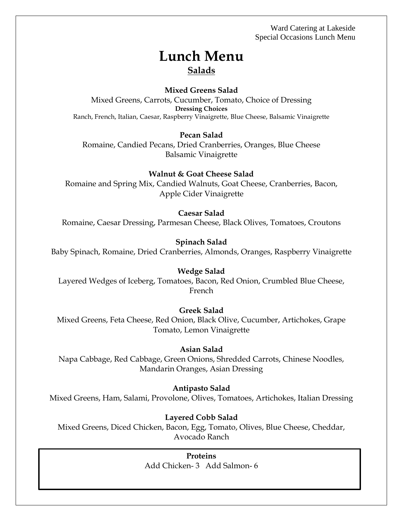# **Lunch Menu Salads**

### **Mixed Greens Salad**

Mixed Greens, Carrots, Cucumber, Tomato, Choice of Dressing **Dressing Choices** Ranch, French, Italian, Caesar, Raspberry Vinaigrette, Blue Cheese, Balsamic Vinaigrette

#### **Pecan Salad**

Romaine, Candied Pecans, Dried Cranberries, Oranges, Blue Cheese Balsamic Vinaigrette

#### **Walnut & Goat Cheese Salad**

Romaine and Spring Mix, Candied Walnuts, Goat Cheese, Cranberries, Bacon, Apple Cider Vinaigrette

#### **Caesar Salad**

Romaine, Caesar Dressing, Parmesan Cheese, Black Olives, Tomatoes, Croutons

#### **Spinach Salad**

Baby Spinach, Romaine, Dried Cranberries, Almonds, Oranges, Raspberry Vinaigrette

#### **Wedge Salad**

Layered Wedges of Iceberg, Tomatoes, Bacon, Red Onion, Crumbled Blue Cheese, French

#### **Greek Salad**

Mixed Greens, Feta Cheese, Red Onion, Black Olive, Cucumber, Artichokes, Grape Tomato, Lemon Vinaigrette

#### **Asian Salad**

Napa Cabbage, Red Cabbage, Green Onions, Shredded Carrots, Chinese Noodles, Mandarin Oranges, Asian Dressing

#### **Antipasto Salad**

Mixed Greens, Ham, Salami, Provolone, Olives, Tomatoes, Artichokes, Italian Dressing

#### **Layered Cobb Salad**

Mixed Greens, Diced Chicken, Bacon, Egg, Tomato, Olives, Blue Cheese, Cheddar, Avocado Ranch

> **Proteins** Add Chicken- 3 Add Salmon- 6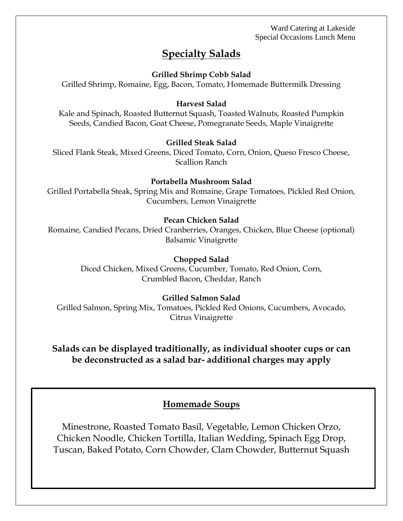# **Specialty Salads**

### **Grilled Shrimp Cobb Salad**

Grilled Shrimp, Romaine, Egg, Bacon, Tomato, Homemade Buttermilk Dressing

#### **Harvest Salad**

Kale and Spinach, Roasted Butternut Squash, Toasted Walnuts, Roasted Pumpkin Seeds, Candied Bacon, Goat Cheese, Pomegranate Seeds, Maple Vinaigrette

#### **Grilled Steak Salad**

Sliced Flank Steak, Mixed Greens, Diced Tomato, Corn, Onion, Queso Fresco Cheese, Scallion Ranch

#### **Portabella Mushroom Salad**

Grilled Portabella Steak, Spring Mix and Romaine, Grape Tomatoes, Pickled Red Onion, Cucumbers, Lemon Vinaigrette

#### **Pecan Chicken Salad**

Romaine, Candied Pecans, Dried Cranberries, Oranges, Chicken, Blue Cheese (optional) Balsamic Vinaigrette

#### **Chopped Salad**

Diced Chicken, Mixed Greens, Cucumber, Tomato, Red Onion, Corn, Crumbled Bacon, Cheddar, Ranch

### **Grilled Salmon Salad**

Grilled Salmon, Spring Mix, Tomatoes, Pickled Red Onions, Cucumbers, Avocado, Citrus Vinaigrette

## **Salads can be displayed traditionally, as individual shooter cups or can be deconstructed as a salad bar- additional charges may apply**

### **Homemade Soups**

Minestrone, Roasted Tomato Basil, Vegetable, Lemon Chicken Orzo, Chicken Noodle, Chicken Tortilla, Italian Wedding, Spinach Egg Drop, Tuscan, Baked Potato, Corn Chowder, Clam Chowder, Butternut Squash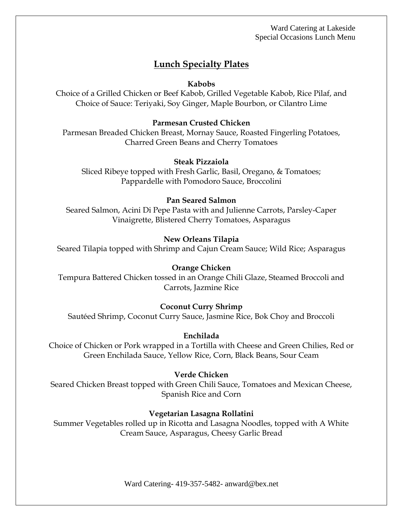# **Lunch Specialty Plates**

### **Kabobs**

Choice of a Grilled Chicken or Beef Kabob, Grilled Vegetable Kabob, Rice Pilaf, and Choice of Sauce: Teriyaki, Soy Ginger, Maple Bourbon, or Cilantro Lime

### **Parmesan Crusted Chicken**

Parmesan Breaded Chicken Breast, Mornay Sauce, Roasted Fingerling Potatoes, Charred Green Beans and Cherry Tomatoes

### **Steak Pizzaiola**

Sliced Ribeye topped with Fresh Garlic, Basil, Oregano, & Tomatoes; Pappardelle with Pomodoro Sauce, Broccolini

### **Pan Seared Salmon**

Seared Salmon, Acini Di Pepe Pasta with and Julienne Carrots, Parsley-Caper Vinaigrette, Blistered Cherry Tomatoes, Asparagus

### **New Orleans Tilapia**

Seared Tilapia topped with Shrimp and Cajun Cream Sauce; Wild Rice; Asparagus

### **Orange Chicken**

Tempura Battered Chicken tossed in an Orange Chili Glaze, Steamed Broccoli and Carrots, Jazmine Rice

### **Coconut Curry Shrimp**

Sautéed Shrimp, Coconut Curry Sauce, Jasmine Rice, Bok Choy and Broccoli

### **Enchilada**

Choice of Chicken or Pork wrapped in a Tortilla with Cheese and Green Chilies, Red or Green Enchilada Sauce, Yellow Rice, Corn, Black Beans, Sour Ceam

### **Verde Chicken**

Seared Chicken Breast topped with Green Chili Sauce, Tomatoes and Mexican Cheese, Spanish Rice and Corn

### **Vegetarian Lasagna Rollatini**

Summer Vegetables rolled up in Ricotta and Lasagna Noodles, topped with A White Cream Sauce, Asparagus, Cheesy Garlic Bread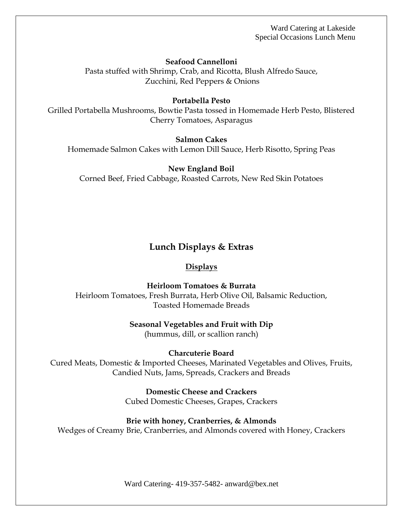**Seafood Cannelloni**

Pasta stuffed with Shrimp, Crab, and Ricotta, Blush Alfredo Sauce, Zucchini, Red Peppers & Onions

#### **Portabella Pesto**

Grilled Portabella Mushrooms, Bowtie Pasta tossed in Homemade Herb Pesto, Blistered Cherry Tomatoes, Asparagus

#### **Salmon Cakes**

Homemade Salmon Cakes with Lemon Dill Sauce, Herb Risotto, Spring Peas

#### **New England Boil**

Corned Beef, Fried Cabbage, Roasted Carrots, New Red Skin Potatoes

### **Lunch Displays & Extras**

#### **Displays**

**Heirloom Tomatoes & Burrata** Heirloom Tomatoes, Fresh Burrata, Herb Olive Oil, Balsamic Reduction,

Toasted Homemade Breads

#### **Seasonal Vegetables and Fruit with Dip**

(hummus, dill, or scallion ranch)

#### **Charcuterie Board**

Cured Meats, Domestic & Imported Cheeses, Marinated Vegetables and Olives, Fruits, Candied Nuts, Jams, Spreads, Crackers and Breads

> **Domestic Cheese and Crackers** Cubed Domestic Cheeses, Grapes, Crackers

#### **Brie with honey, Cranberries, & Almonds**

Wedges of Creamy Brie, Cranberries, and Almonds covered with Honey, Crackers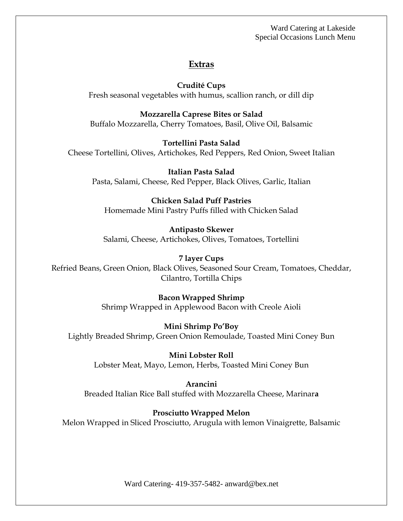### **Extras**

**Crudité Cups**

Fresh seasonal vegetables with humus, scallion ranch, or dill dip

**Mozzarella Caprese Bites or Salad** Buffalo Mozzarella, Cherry Tomatoes, Basil, Olive Oil, Balsamic

**Tortellini Pasta Salad** Cheese Tortellini, Olives, Artichokes, Red Peppers, Red Onion, Sweet Italian

**Italian Pasta Salad** Pasta, Salami, Cheese, Red Pepper, Black Olives, Garlic, Italian

### **Chicken Salad Puff Pastries**

Homemade Mini Pastry Puffs filled with Chicken Salad

### **Antipasto Skewer**

Salami, Cheese, Artichokes, Olives, Tomatoes, Tortellini

### **7 layer Cups**

Refried Beans, Green Onion, Black Olives, Seasoned Sour Cream, Tomatoes, Cheddar, Cilantro, Tortilla Chips

### **Bacon Wrapped Shrimp**

Shrimp Wrapped in Applewood Bacon with Creole Aioli

### **Mini Shrimp Po'Boy**

Lightly Breaded Shrimp, Green Onion Remoulade, Toasted Mini Coney Bun

**Mini Lobster Roll** Lobster Meat, Mayo, Lemon, Herbs, Toasted Mini Coney Bun

**Arancini** Breaded Italian Rice Ball stuffed with Mozzarella Cheese, Marinar**a**

### **Prosciutto Wrapped Melon**

Melon Wrapped in Sliced Prosciutto, Arugula with lemon Vinaigrette, Balsamic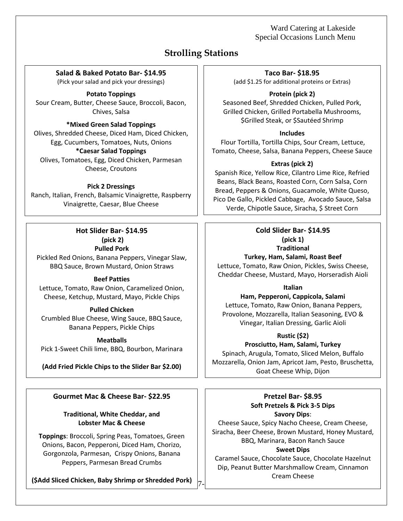# **Strolling Stations**

**Salad & Baked Potato Bar- \$14.95**

(Pick your salad and pick your dressings)

**Potato Toppings**

Sour Cream, Butter, Cheese Sauce, Broccoli, Bacon, Chives, Salsa

#### **\*Mixed Green Salad Toppings**

Olives, Shredded Cheese, Diced Ham, Diced Chicken, Egg, Cucumbers, Tomatoes, Nuts, Onions **\*Caesar Salad Toppings**

Olives, Tomatoes, Egg, Diced Chicken, Parmesan Cheese, Croutons

#### **Pick 2 Dressings**

Ranch, Italian, French, Balsamic Vinaigrette, Raspberry Vinaigrette, Caesar, Blue Cheese

> **Hot Slider Bar- \$14.95 (pick 2) Pulled Pork**

Pickled Red Onions, Banana Peppers, Vinegar Slaw, BBQ Sauce, Brown Mustard, Onion Straws

#### **Beef Patties**

Lettuce, Tomato, Raw Onion, Caramelized Onion, Cheese, Ketchup, Mustard, Mayo, Pickle Chips

#### **Pulled Chicken**

Crumbled Blue Cheese, Wing Sauce, BBQ Sauce, Banana Peppers, Pickle Chips

#### **Meatballs**

Pick 1-Sweet Chili lime, BBQ, Bourbon, Marinara

### **(Add Fried Pickle Chips to the Slider Bar \$2.00)**

### **Gourmet Mac & Cheese Bar- \$22.95**

### **Traditional, White Cheddar, and Lobster Mac & Cheese**

**Toppings**: Broccoli, Spring Peas, Tomatoes, Green Onions, Bacon, Pepperoni, Diced Ham, Chorizo, Gorgonzola, Parmesan, Crispy Onions, Banana Peppers, Parmesan Bread Crumbs

**(\$Add Sliced Chicken, Baby Shrimp or Shredded Pork)**  $\begin{bmatrix} 7 \end{bmatrix}$ 

**Taco Bar- \$18.95**

(add \$1.25 for additional proteins or Extras)

**Protein (pick 2)** Seasoned Beef, Shredded Chicken, Pulled Pork, Grilled Chicken, Grilled Portabella Mushrooms, \$Grilled Steak, or \$Sautéed Shrimp

#### **Includes**

Flour Tortilla, Tortilla Chips, Sour Cream, Lettuce, Tomato, Cheese, Salsa, Banana Peppers, Cheese Sauce

### **Extras (pick 2)**

Spanish Rice, Yellow Rice, Cilantro Lime Rice, Refried Beans, Black Beans, Roasted Corn, Corn Salsa, Corn Bread, Peppers & Onions, Guacamole, White Queso, Pico De Gallo, Pickled Cabbage, Avocado Sauce, Salsa Verde, Chipotle Sauce, Siracha, \$ Street Corn

#### **Cold Slider Bar- \$14.95 (pick 1) Traditional**

**Turkey, Ham, Salami, Roast Beef**

Lettuce, Tomato, Raw Onion, Pickles, Swiss Cheese, Cheddar Cheese, Mustard, Mayo, Horseradish Aioli

**Italian**

**Ham, Pepperoni, Cappicola, Salami**  Lettuce, Tomato, Raw Onion, Banana Peppers, Provolone, Mozzarella, Italian Seasoning, EVO & Vinegar, Italian Dressing, Garlic Aioli

### **Rustic (\$2)**

### **Prosciutto, Ham, Salami, Turkey**

Spinach, Arugula, Tomato, Sliced Melon, Buffalo Mozzarella, Onion Jam, Apricot Jam, Pesto, Bruschetta, Goat Cheese Whip, Dijon

### **Pretzel Bar- \$8.95 Soft Pretzels & Pick 3-5 Dips**

**Savory Dips**:

Cheese Sauce, Spicy Nacho Cheese, Cream Cheese, Siracha, Beer Cheese, Brown Mustard, Honey Mustard, BBQ, Marinara, Bacon Ranch Sauce

#### **Sweet Dips**

Caramel Sauce, Chocolate Sauce, Chocolate Hazelnut Dip, Peanut Butter Marshmallow Cream, Cinnamon Cream Cheese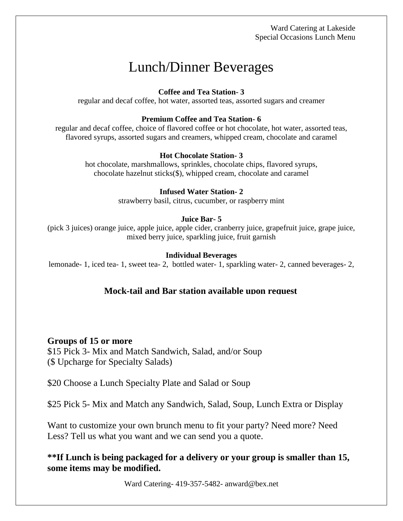# Lunch/Dinner Beverages

### **Coffee and Tea Station- 3**

regular and decaf coffee, hot water, assorted teas, assorted sugars and creamer

### **Premium Coffee and Tea Station- 6**

regular and decaf coffee, choice of flavored coffee or hot chocolate, hot water, assorted teas, flavored syrups, assorted sugars and creamers, whipped cream, chocolate and caramel

### **Hot Chocolate Station- 3**

hot chocolate, marshmallows, sprinkles, chocolate chips, flavored syrups, chocolate hazelnut sticks(\$), whipped cream, chocolate and caramel

### **Infused Water Station- 2**

strawberry basil, citrus, cucumber, or raspberry mint

### **Juice Bar- 5**

(pick 3 juices) orange juice, apple juice, apple cider, cranberry juice, grapefruit juice, grape juice, mixed berry juice, sparkling juice, fruit garnish

### **Individual Beverages**

lemonade- 1, iced tea- 1, sweet tea- 2, bottled water- 1, sparkling water- 2, canned beverages- 2,

### **Mock-tail and Bar station available upon request**

### **Groups of 15 or more**

\$15 Pick 3- Mix and Match Sandwich, Salad, and/or Soup (\$ Upcharge for Specialty Salads)

\$20 Choose a Lunch Specialty Plate and Salad or Soup

\$25 Pick 5- Mix and Match any Sandwich, Salad, Soup, Lunch Extra or Display

Want to customize your own brunch menu to fit your party? Need more? Need Less? Tell us what you want and we can send you a quote.

**\*\*If Lunch is being packaged for a delivery or your group is smaller than 15, some items may be modified.**